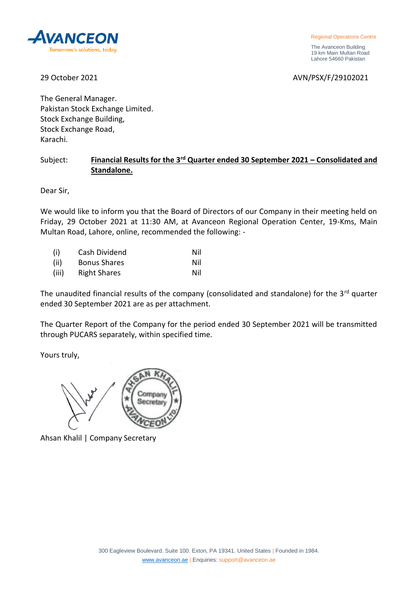

Regional Operations Centre

 The Avanceon Building 19 km Main Multan Road Lahore 54660 Pakistan

29 October 2021 AVN/PSX/F/29102021

The General Manager. Pakistan Stock Exchange Limited. Stock Exchange Building, Stock Exchange Road, Karachi.

## Subject: **Financial Results for the 3rd Quarter ended 30 September 2021 – Consolidated and Standalone.**

Dear Sir,

We would like to inform you that the Board of Directors of our Company in their meeting held on Friday, 29 October 2021 at 11:30 AM, at Avanceon Regional Operation Center, 19-Kms, Main Multan Road, Lahore, online, recommended the following: -

| (i)   | Cash Dividend       | Nil |
|-------|---------------------|-----|
| (ii)  | <b>Bonus Shares</b> | Nil |
| (iii) | <b>Right Shares</b> | Nil |

The unaudited financial results of the company (consolidated and standalone) for the 3<sup>rd</sup> quarter ended 30 September 2021 are as per attachment.

The Quarter Report of the Company for the period ended 30 September 2021 will be transmitted through PUCARS separately, within specified time.

Yours truly,



Ahsan Khalil | Company Secretary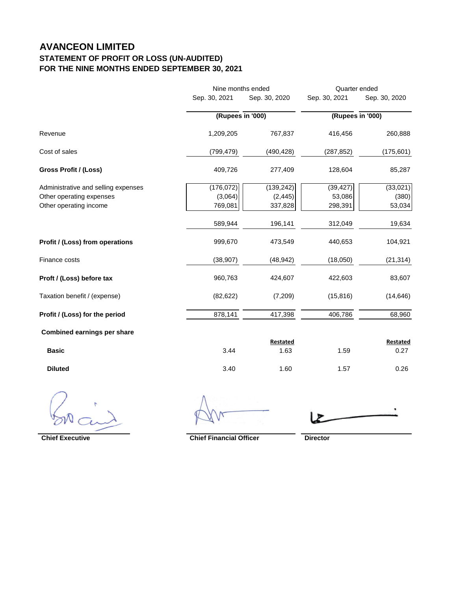## **AVANCEON LIMITED STATEMENT OF PROFIT OR LOSS (UN-AUDITED) FOR THE NINE MONTHS ENDED SEPTEMBER 30, 2021**

|                                     |               | Nine months ended |               | Quarter ended    |  |
|-------------------------------------|---------------|-------------------|---------------|------------------|--|
|                                     | Sep. 30, 2021 | Sep. 30, 2020     | Sep. 30, 2021 | Sep. 30, 2020    |  |
|                                     |               | (Rupees in '000)  |               | (Rupees in '000) |  |
| Revenue                             | 1,209,205     | 767,837           | 416,456       | 260,888          |  |
| Cost of sales                       | (799, 479)    | (490, 428)        | (287, 852)    | (175, 601)       |  |
| Gross Profit / (Loss)               | 409,726       | 277,409           | 128,604       | 85,287           |  |
| Administrative and selling expenses | (176, 072)    | (139, 242)        | (39, 427)     | (33,021)         |  |
| Other operating expenses            | (3,064)       | (2, 445)          | 53,086        | (380)            |  |
| Other operating income              | 769,081       | 337,828           | 298,391       | 53,034           |  |
|                                     | 589,944       | 196,141           | 312,049       | 19,634           |  |
| Profit / (Loss) from operations     | 999,670       | 473,549           | 440,653       | 104,921          |  |
| Finance costs                       | (38, 907)     | (48, 942)         | (18,050)      | (21, 314)        |  |
| Proft / (Loss) before tax           | 960,763       | 424,607           | 422,603       | 83,607           |  |
| Taxation benefit / (expense)        | (82, 622)     | (7,209)           | (15, 816)     | (14, 646)        |  |
| Profit / (Loss) for the period      | 878,141       | 417,398           | 406,786       | 68,960           |  |
| <b>Combined earnings per share</b>  |               |                   |               |                  |  |
|                                     |               | Restated          |               | <b>Restated</b>  |  |
| <b>Basic</b>                        | 3.44          | 1.63              | 1.59          | 0.27             |  |

**Diluted** 3.40 1.60 1.57 0.26

**Chief Executive Chief Financial Officer Director**